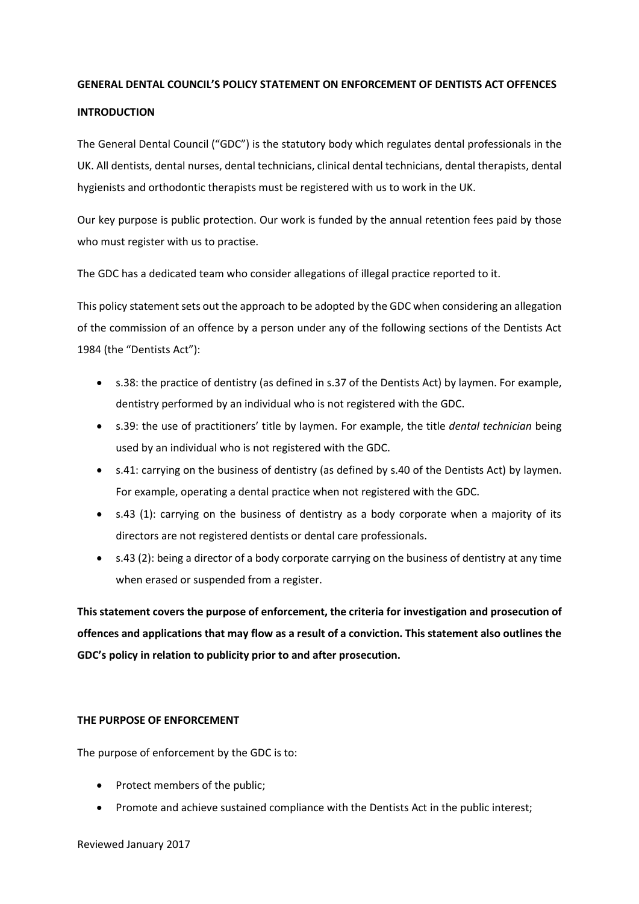# **GENERAL DENTAL COUNCIL'S POLICY STATEMENT ON ENFORCEMENT OF DENTISTS ACT OFFENCES**

# **INTRODUCTION**

The General Dental Council ("GDC") is the statutory body which regulates dental professionals in the UK. All dentists, dental nurses, dental technicians, clinical dental technicians, dental therapists, dental hygienists and orthodontic therapists must be registered with us to work in the UK.

Our key purpose is public protection. Our work is funded by the annual retention fees paid by those who must register with us to practise.

The GDC has a dedicated team who consider allegations of illegal practice reported to it.

This policy statement sets out the approach to be adopted by the GDC when considering an allegation of the commission of an offence by a person under any of the following sections of the Dentists Act 1984 (the "Dentists Act"):

- s.38: the practice of dentistry (as defined in s.37 of the Dentists Act) by laymen. For example, dentistry performed by an individual who is not registered with the GDC.
- s.39: the use of practitioners' title by laymen. For example, the title *dental technician* being used by an individual who is not registered with the GDC.
- s.41: carrying on the business of dentistry (as defined by s.40 of the Dentists Act) by laymen. For example, operating a dental practice when not registered with the GDC.
- s.43 (1): carrying on the business of dentistry as a body corporate when a majority of its directors are not registered dentists or dental care professionals.
- s.43 (2): being a director of a body corporate carrying on the business of dentistry at any time when erased or suspended from a register.

**This statement covers the purpose of enforcement, the criteria for investigation and prosecution of offences and applications that may flow as a result of a conviction. This statement also outlines the GDC's policy in relation to publicity prior to and after prosecution.** 

## **THE PURPOSE OF ENFORCEMENT**

The purpose of enforcement by the GDC is to:

- Protect members of the public;
- Promote and achieve sustained compliance with the Dentists Act in the public interest;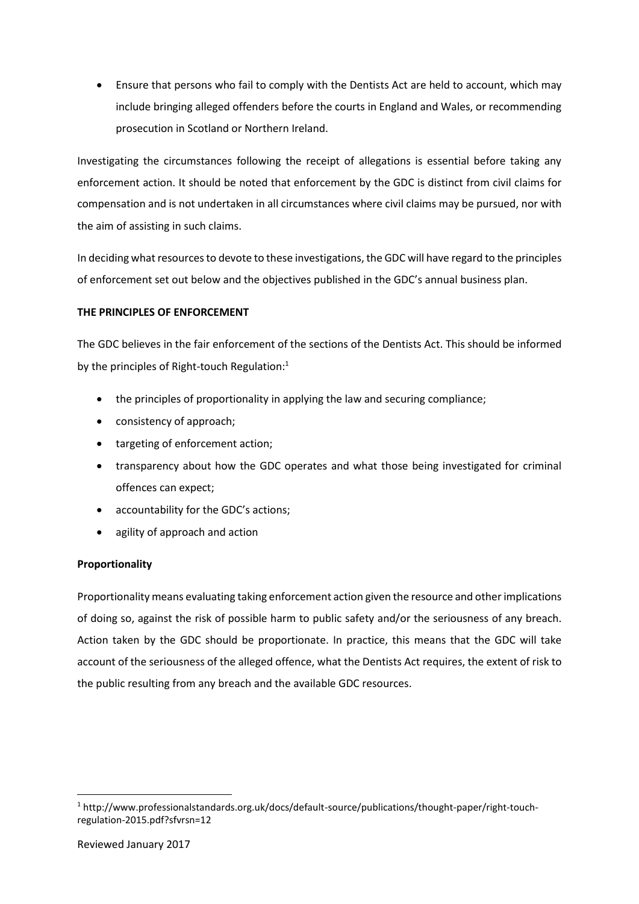Ensure that persons who fail to comply with the Dentists Act are held to account, which may include bringing alleged offenders before the courts in England and Wales, or recommending prosecution in Scotland or Northern Ireland.

Investigating the circumstances following the receipt of allegations is essential before taking any enforcement action. It should be noted that enforcement by the GDC is distinct from civil claims for compensation and is not undertaken in all circumstances where civil claims may be pursued, nor with the aim of assisting in such claims.

In deciding what resources to devote to these investigations, the GDC will have regard to the principles of enforcement set out below and the objectives published in the GDC's annual business plan.

# **THE PRINCIPLES OF ENFORCEMENT**

The GDC believes in the fair enforcement of the sections of the Dentists Act. This should be informed by the principles of Right-touch Regulation:<sup>1</sup>

- the principles of proportionality in applying the law and securing compliance;
- consistency of approach;
- targeting of enforcement action;
- transparency about how the GDC operates and what those being investigated for criminal offences can expect;
- accountability for the GDC's actions;
- agility of approach and action

## **Proportionality**

Proportionality means evaluating taking enforcement action given the resource and other implications of doing so, against the risk of possible harm to public safety and/or the seriousness of any breach. Action taken by the GDC should be proportionate. In practice, this means that the GDC will take account of the seriousness of the alleged offence, what the Dentists Act requires, the extent of risk to the public resulting from any breach and the available GDC resources.

<sup>1</sup> http://www.professionalstandards.org.uk/docs/default-source/publications/thought-paper/right-touchregulation-2015.pdf?sfvrsn=12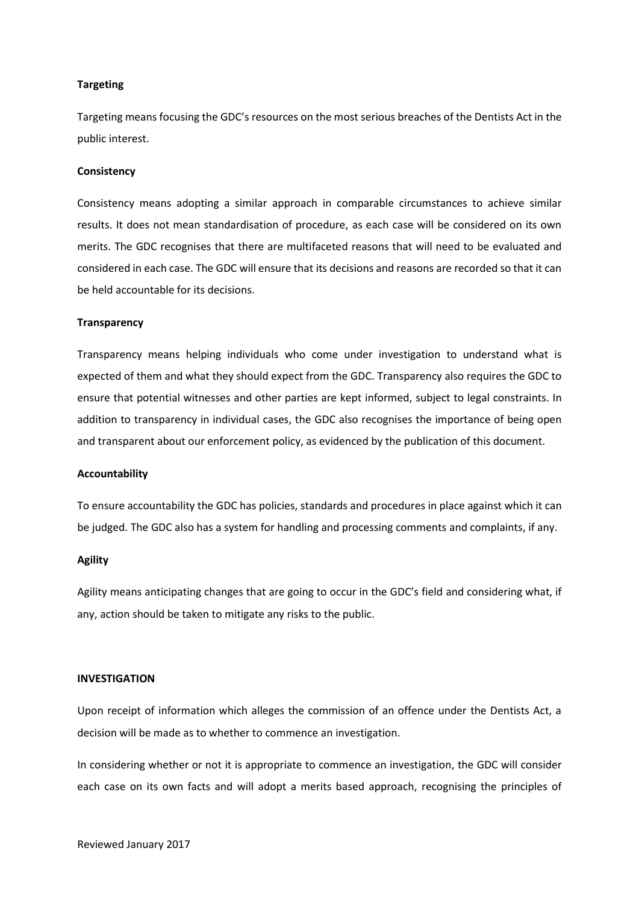#### **Targeting**

Targeting means focusing the GDC's resources on the most serious breaches of the Dentists Act in the public interest.

#### **Consistency**

Consistency means adopting a similar approach in comparable circumstances to achieve similar results. It does not mean standardisation of procedure, as each case will be considered on its own merits. The GDC recognises that there are multifaceted reasons that will need to be evaluated and considered in each case. The GDC will ensure that its decisions and reasons are recorded so that it can be held accountable for its decisions.

#### **Transparency**

Transparency means helping individuals who come under investigation to understand what is expected of them and what they should expect from the GDC. Transparency also requires the GDC to ensure that potential witnesses and other parties are kept informed, subject to legal constraints. In addition to transparency in individual cases, the GDC also recognises the importance of being open and transparent about our enforcement policy, as evidenced by the publication of this document.

#### **Accountability**

To ensure accountability the GDC has policies, standards and procedures in place against which it can be judged. The GDC also has a system for handling and processing comments and complaints, if any.

#### **Agility**

Agility means anticipating changes that are going to occur in the GDC's field and considering what, if any, action should be taken to mitigate any risks to the public.

## **INVESTIGATION**

Upon receipt of information which alleges the commission of an offence under the Dentists Act, a decision will be made as to whether to commence an investigation.

In considering whether or not it is appropriate to commence an investigation, the GDC will consider each case on its own facts and will adopt a merits based approach, recognising the principles of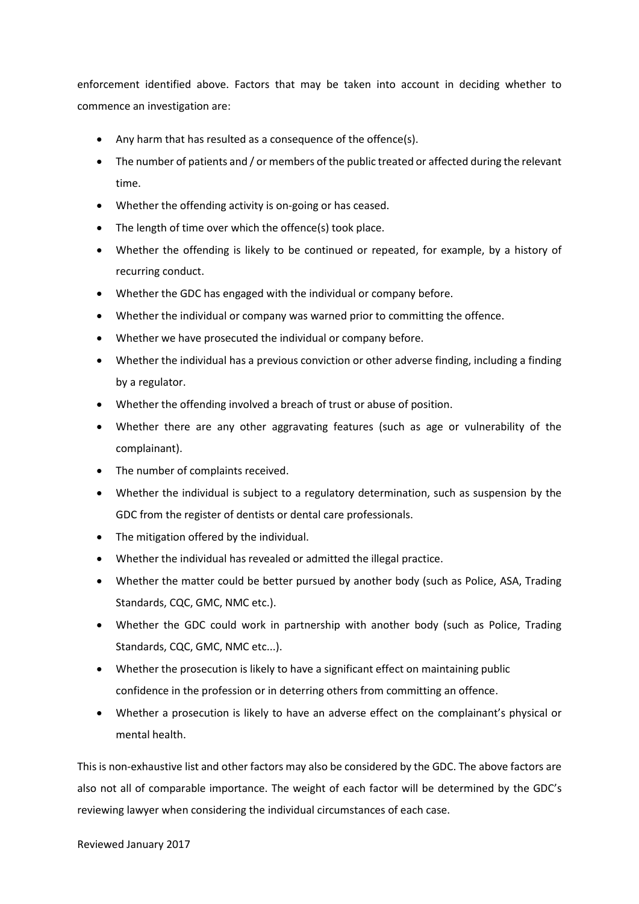enforcement identified above. Factors that may be taken into account in deciding whether to commence an investigation are:

- Any harm that has resulted as a consequence of the offence(s).
- The number of patients and / or members of the public treated or affected during the relevant time.
- Whether the offending activity is on-going or has ceased.
- The length of time over which the offence(s) took place.
- Whether the offending is likely to be continued or repeated, for example, by a history of recurring conduct.
- Whether the GDC has engaged with the individual or company before.
- Whether the individual or company was warned prior to committing the offence.
- Whether we have prosecuted the individual or company before.
- Whether the individual has a previous conviction or other adverse finding, including a finding by a regulator.
- Whether the offending involved a breach of trust or abuse of position.
- Whether there are any other aggravating features (such as age or vulnerability of the complainant).
- The number of complaints received.
- Whether the individual is subject to a regulatory determination, such as suspension by the GDC from the register of dentists or dental care professionals.
- The mitigation offered by the individual.
- Whether the individual has revealed or admitted the illegal practice.
- Whether the matter could be better pursued by another body (such as Police, ASA, Trading Standards, CQC, GMC, NMC etc.).
- Whether the GDC could work in partnership with another body (such as Police, Trading Standards, CQC, GMC, NMC etc...).
- Whether the prosecution is likely to have a significant effect on maintaining public confidence in the profession or in deterring others from committing an offence.
- Whether a prosecution is likely to have an adverse effect on the complainant's physical or mental health.

This is non-exhaustive list and other factors may also be considered by the GDC. The above factors are also not all of comparable importance. The weight of each factor will be determined by the GDC's reviewing lawyer when considering the individual circumstances of each case.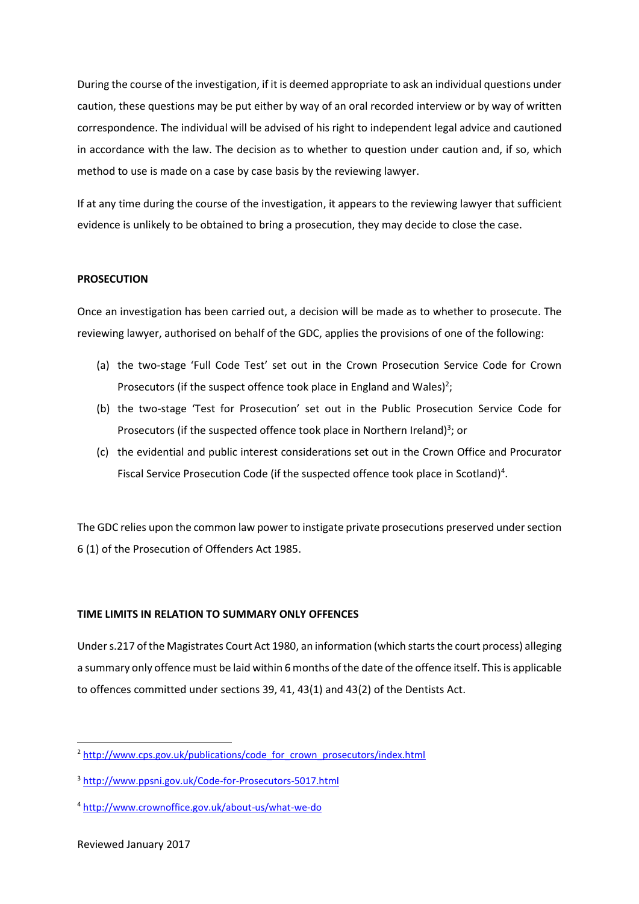During the course of the investigation, if it is deemed appropriate to ask an individual questions under caution, these questions may be put either by way of an oral recorded interview or by way of written correspondence. The individual will be advised of his right to independent legal advice and cautioned in accordance with the law. The decision as to whether to question under caution and, if so, which method to use is made on a case by case basis by the reviewing lawyer.

If at any time during the course of the investigation, it appears to the reviewing lawyer that sufficient evidence is unlikely to be obtained to bring a prosecution, they may decide to close the case.

### **PROSECUTION**

Once an investigation has been carried out, a decision will be made as to whether to prosecute. The reviewing lawyer, authorised on behalf of the GDC, applies the provisions of one of the following:

- (a) the two-stage 'Full Code Test' set out in the Crown Prosecution Service Code for Crown Prosecutors (if the suspect offence took place in England and Wales)<sup>2</sup>;
- (b) the two-stage 'Test for Prosecution' set out in the Public Prosecution Service Code for Prosecutors (if the suspected offence took place in Northern Ireland) $3$ ; or
- (c) the evidential and public interest considerations set out in the Crown Office and Procurator Fiscal Service Prosecution Code (if the suspected offence took place in Scotland)<sup>4</sup>.

The GDC relies upon the common law power to instigate private prosecutions preserved under section 6 (1) of the Prosecution of Offenders Act 1985.

#### **TIME LIMITS IN RELATION TO SUMMARY ONLY OFFENCES**

Under s.217 of the Magistrates Court Act 1980, an information (which starts the court process) alleging a summary only offence must be laid within 6 months of the date of the offence itself. This is applicable to offences committed under sections 39, 41, 43(1) and 43(2) of the Dentists Act.

<sup>&</sup>lt;sup>2</sup> http://www.cps.gov.uk/publications/code\_for\_crown\_prosecutors/index.html

<sup>3</sup> <http://www.ppsni.gov.uk/Code-for-Prosecutors-5017.html>

<sup>4</sup> <http://www.crownoffice.gov.uk/about-us/what-we-do>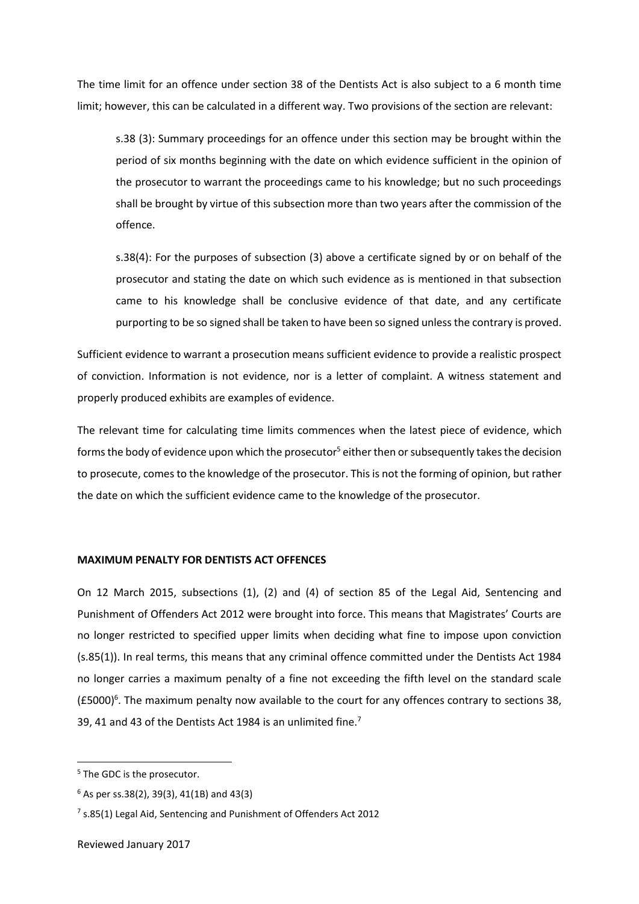The time limit for an offence under section 38 of the Dentists Act is also subject to a 6 month time limit; however, this can be calculated in a different way. Two provisions of the section are relevant:

s.38 (3): Summary proceedings for an offence under this section may be brought within the period of six months beginning with the date on which evidence sufficient in the opinion of the prosecutor to warrant the proceedings came to his knowledge; but no such proceedings shall be brought by virtue of this subsection more than two years after the commission of the offence.

s.38(4): For the purposes of subsection (3) above a certificate signed by or on behalf of the prosecutor and stating the date on which such evidence as is mentioned in that subsection came to his knowledge shall be conclusive evidence of that date, and any certificate purporting to be so signed shall be taken to have been so signed unless the contrary is proved.

Sufficient evidence to warrant a prosecution means sufficient evidence to provide a realistic prospect of conviction. Information is not evidence, nor is a letter of complaint. A witness statement and properly produced exhibits are examples of evidence.

The relevant time for calculating time limits commences when the latest piece of evidence, which forms the body of evidence upon which the prosecutor<sup>5</sup> either then or subsequently takes the decision to prosecute, comes to the knowledge of the prosecutor. This is not the forming of opinion, but rather the date on which the sufficient evidence came to the knowledge of the prosecutor.

#### **MAXIMUM PENALTY FOR DENTISTS ACT OFFENCES**

On 12 March 2015, subsections (1), (2) and (4) of section 85 of the Legal Aid, Sentencing and Punishment of Offenders Act 2012 were brought into force. This means that Magistrates' Courts are no longer restricted to specified upper limits when deciding what fine to impose upon conviction (s.85(1)). In real terms, this means that any criminal offence committed under the Dentists Act 1984 no longer carries a maximum penalty of a fine not exceeding the fifth level on the standard scale (£5000)<sup>6</sup>. The maximum penalty now available to the court for any offences contrary to sections 38, 39, 41 and 43 of the Dentists Act 1984 is an unlimited fine.<sup>7</sup>

<sup>5</sup> The GDC is the prosecutor.

 $6$  As per ss.38(2), 39(3), 41(1B) and 43(3)

 $<sup>7</sup>$  s.85(1) Legal Aid, Sentencing and Punishment of Offenders Act 2012</sup>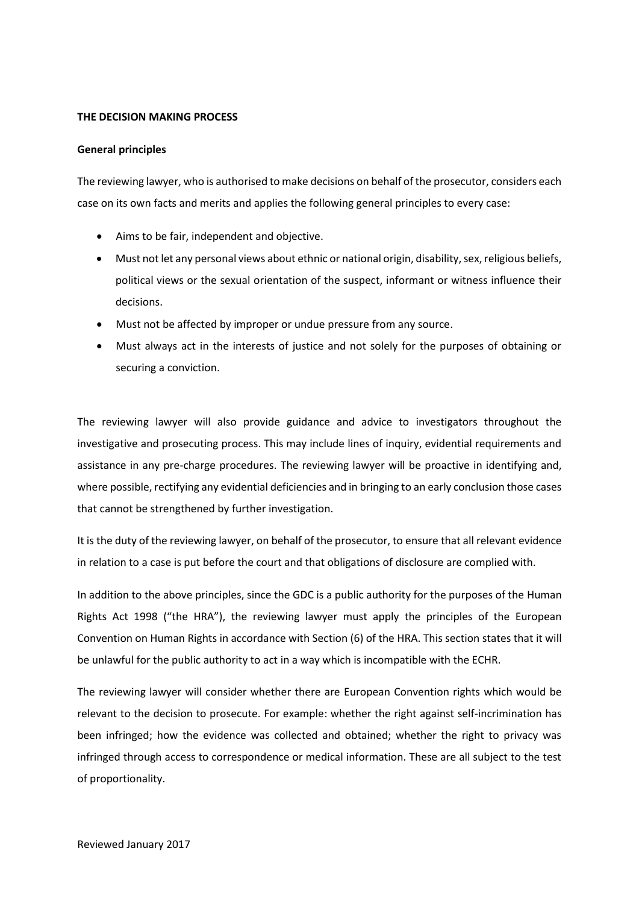### **THE DECISION MAKING PROCESS**

### **General principles**

The reviewing lawyer, who is authorised to make decisions on behalf of the prosecutor, considers each case on its own facts and merits and applies the following general principles to every case:

- Aims to be fair, independent and objective.
- Must not let any personal views about ethnic or national origin, disability, sex, religious beliefs, political views or the sexual orientation of the suspect, informant or witness influence their decisions.
- Must not be affected by improper or undue pressure from any source.
- Must always act in the interests of justice and not solely for the purposes of obtaining or securing a conviction.

The reviewing lawyer will also provide guidance and advice to investigators throughout the investigative and prosecuting process. This may include lines of inquiry, evidential requirements and assistance in any pre-charge procedures. The reviewing lawyer will be proactive in identifying and, where possible, rectifying any evidential deficiencies and in bringing to an early conclusion those cases that cannot be strengthened by further investigation.

It is the duty of the reviewing lawyer, on behalf of the prosecutor, to ensure that all relevant evidence in relation to a case is put before the court and that obligations of disclosure are complied with.

In addition to the above principles, since the GDC is a public authority for the purposes of the Human Rights Act 1998 ("the HRA"), the reviewing lawyer must apply the principles of the European Convention on Human Rights in accordance with Section (6) of the HRA. This section states that it will be unlawful for the public authority to act in a way which is incompatible with the ECHR.

The reviewing lawyer will consider whether there are European Convention rights which would be relevant to the decision to prosecute. For example: whether the right against self-incrimination has been infringed; how the evidence was collected and obtained; whether the right to privacy was infringed through access to correspondence or medical information. These are all subject to the test of proportionality.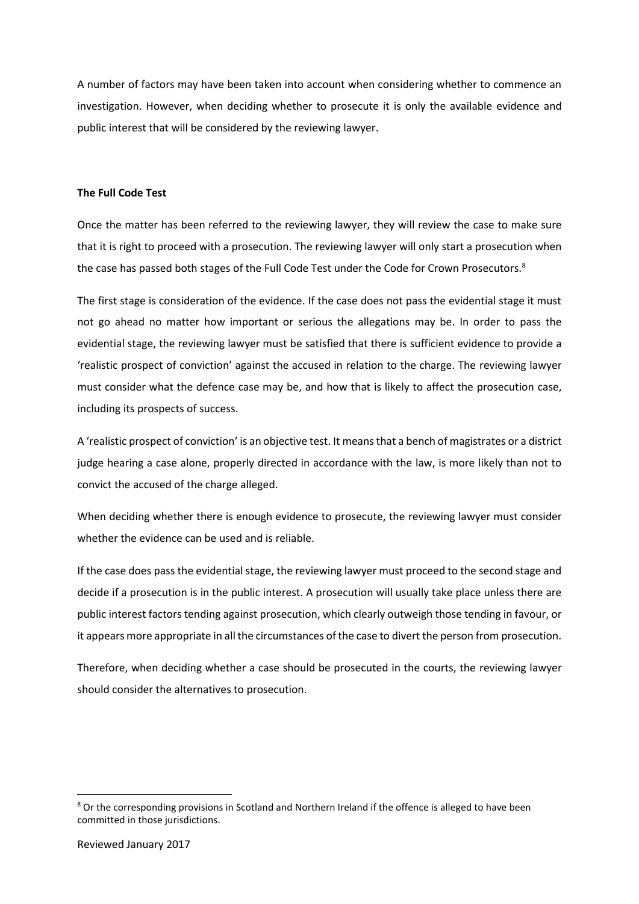A number of factors may have been taken into account when considering whether to commence an investigation. However, when deciding whether to prosecute it is only the available evidence and public interest that will be considered by the reviewing lawyer.

### **The Full Code Test**

Once the matter has been referred to the reviewing lawyer, they will review the case to make sure that it is right to proceed with a prosecution. The reviewing lawyer will only start a prosecution when the case has passed both stages of the Full Code Test under the Code for Crown Prosecutors.<sup>8</sup>

The first stage is consideration of the evidence. If the case does not pass the evidential stage it must not go ahead no matter how important or serious the allegations may be. In order to pass the evidential stage, the reviewing lawyer must be satisfied that there is sufficient evidence to provide a 'realistic prospect of conviction' against the accused in relation to the charge. The reviewing lawyer must consider what the defence case may be, and how that is likely to affect the prosecution case, including its prospects of success.

A 'realistic prospect of conviction' is an objective test. It means that a bench of magistrates or a district judge hearing a case alone, properly directed in accordance with the law, is more likely than not to convict the accused of the charge alleged.

When deciding whether there is enough evidence to prosecute, the reviewing lawyer must consider whether the evidence can be used and is reliable.

If the case does pass the evidential stage, the reviewing lawyer must proceed to the second stage and decide if a prosecution is in the public interest. A prosecution will usually take place unless there are public interest factors tending against prosecution, which clearly outweigh those tending in favour, or it appears more appropriate in all the circumstances of the case to divert the person from prosecution.

Therefore, when deciding whether a case should be prosecuted in the courts, the reviewing lawyer should consider the alternatives to prosecution.

<sup>&</sup>lt;sup>8</sup> Or the corresponding provisions in Scotland and Northern Ireland if the offence is alleged to have been committed in those jurisdictions.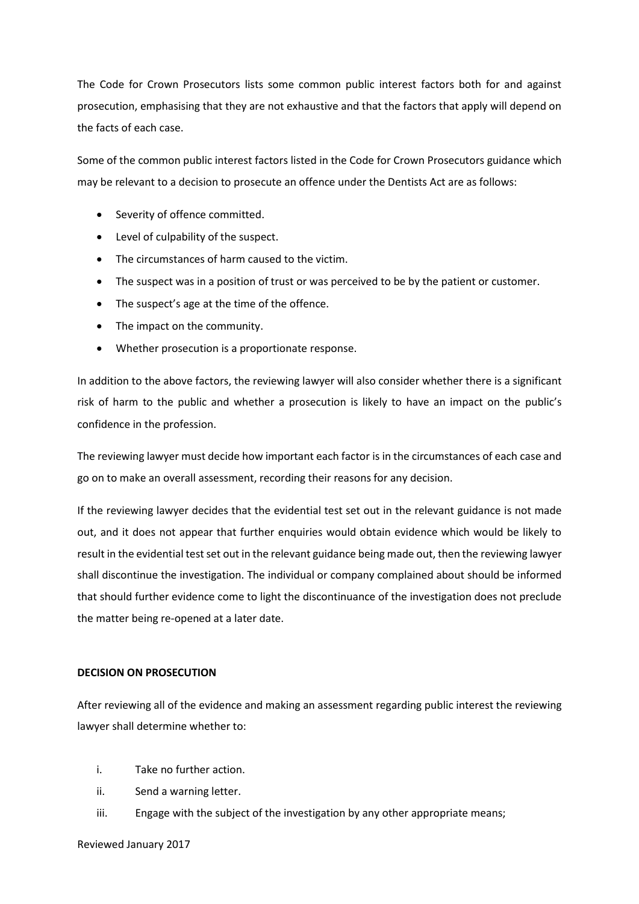The Code for Crown Prosecutors lists some common public interest factors both for and against prosecution, emphasising that they are not exhaustive and that the factors that apply will depend on the facts of each case.

Some of the common public interest factors listed in the Code for Crown Prosecutors guidance which may be relevant to a decision to prosecute an offence under the Dentists Act are as follows:

- Severity of offence committed.
- Level of culpability of the suspect.
- The circumstances of harm caused to the victim.
- The suspect was in a position of trust or was perceived to be by the patient or customer.
- The suspect's age at the time of the offence.
- The impact on the community.
- Whether prosecution is a proportionate response.

In addition to the above factors, the reviewing lawyer will also consider whether there is a significant risk of harm to the public and whether a prosecution is likely to have an impact on the public's confidence in the profession.

The reviewing lawyer must decide how important each factor is in the circumstances of each case and go on to make an overall assessment, recording their reasons for any decision.

If the reviewing lawyer decides that the evidential test set out in the relevant guidance is not made out, and it does not appear that further enquiries would obtain evidence which would be likely to result in the evidential test set out in the relevant guidance being made out, then the reviewing lawyer shall discontinue the investigation. The individual or company complained about should be informed that should further evidence come to light the discontinuance of the investigation does not preclude the matter being re-opened at a later date.

## **DECISION ON PROSECUTION**

After reviewing all of the evidence and making an assessment regarding public interest the reviewing lawyer shall determine whether to:

- i. Take no further action.
- ii. Send a warning letter.
- iii. Engage with the subject of the investigation by any other appropriate means;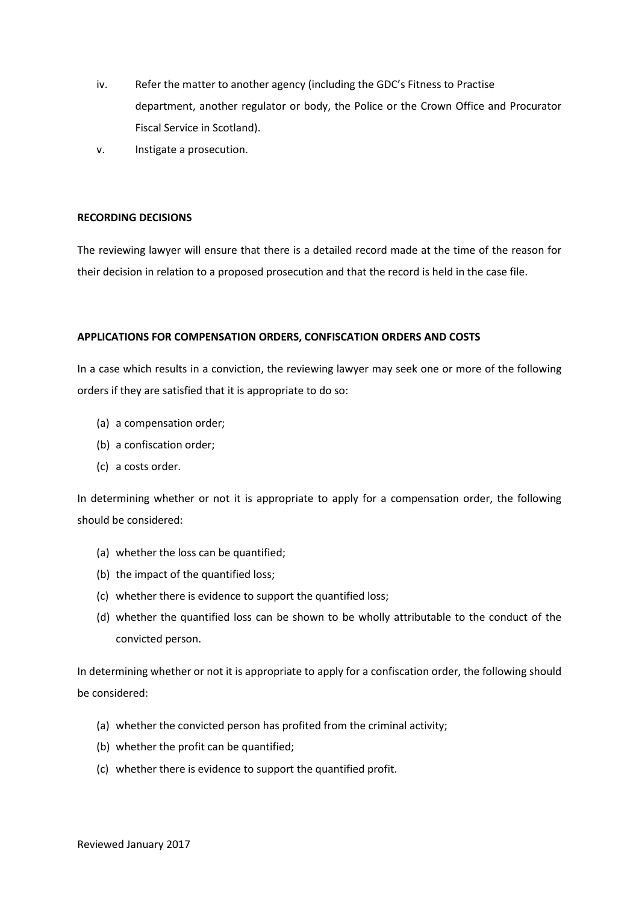- iv. Refer the matter to another agency (including the GDC's Fitness to Practise department, another regulator or body, the Police or the Crown Office and Procurator Fiscal Service in Scotland).
- v. Instigate a prosecution.

### **RECORDING DECISIONS**

The reviewing lawyer will ensure that there is a detailed record made at the time of the reason for their decision in relation to a proposed prosecution and that the record is held in the case file.

### **APPLICATIONS FOR COMPENSATION ORDERS, CONFISCATION ORDERS AND COSTS**

In a case which results in a conviction, the reviewing lawyer may seek one or more of the following orders if they are satisfied that it is appropriate to do so:

- (a) a compensation order;
- (b) a confiscation order;
- (c) a costs order.

In determining whether or not it is appropriate to apply for a compensation order, the following should be considered:

- (a) whether the loss can be quantified;
- (b) the impact of the quantified loss;
- (c) whether there is evidence to support the quantified loss;
- (d) whether the quantified loss can be shown to be wholly attributable to the conduct of the convicted person.

In determining whether or not it is appropriate to apply for a confiscation order, the following should be considered:

- (a) whether the convicted person has profited from the criminal activity;
- (b) whether the profit can be quantified;
- (c) whether there is evidence to support the quantified profit.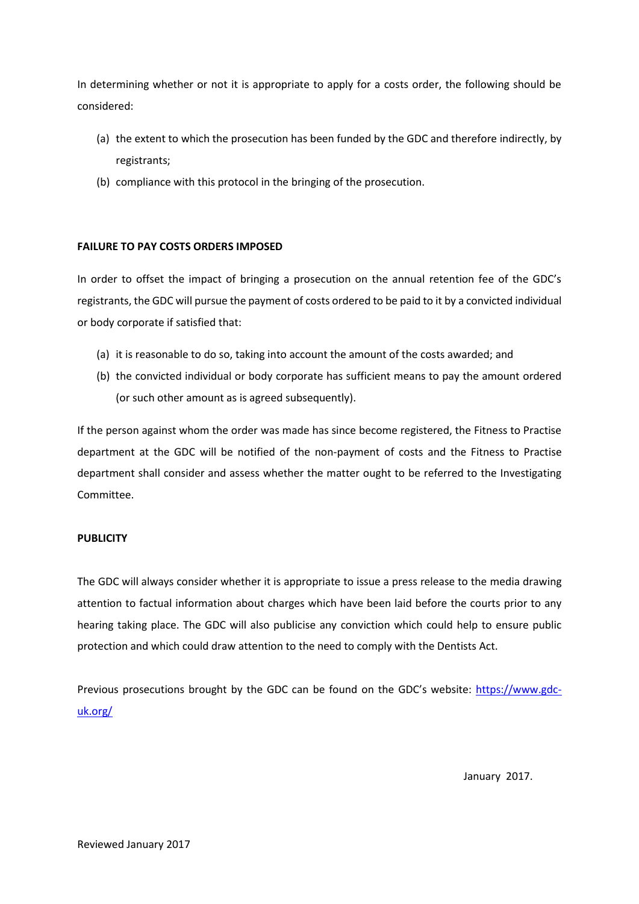In determining whether or not it is appropriate to apply for a costs order, the following should be considered:

- (a) the extent to which the prosecution has been funded by the GDC and therefore indirectly, by registrants;
- (b) compliance with this protocol in the bringing of the prosecution.

# **FAILURE TO PAY COSTS ORDERS IMPOSED**

In order to offset the impact of bringing a prosecution on the annual retention fee of the GDC's registrants, the GDC will pursue the payment of costs ordered to be paid to it by a convicted individual or body corporate if satisfied that:

- (a) it is reasonable to do so, taking into account the amount of the costs awarded; and
- (b) the convicted individual or body corporate has sufficient means to pay the amount ordered (or such other amount as is agreed subsequently).

If the person against whom the order was made has since become registered, the Fitness to Practise department at the GDC will be notified of the non-payment of costs and the Fitness to Practise department shall consider and assess whether the matter ought to be referred to the Investigating Committee.

## **PUBLICITY**

The GDC will always consider whether it is appropriate to issue a press release to the media drawing attention to factual information about charges which have been laid before the courts prior to any hearing taking place. The GDC will also publicise any conviction which could help to ensure public protection and which could draw attention to the need to comply with the Dentists Act.

Previous prosecutions brought by the GDC can be found on the GDC's website: [https://www.gdc](https://www.gdc-uk.org/)[uk.org/](https://www.gdc-uk.org/)

January 2017.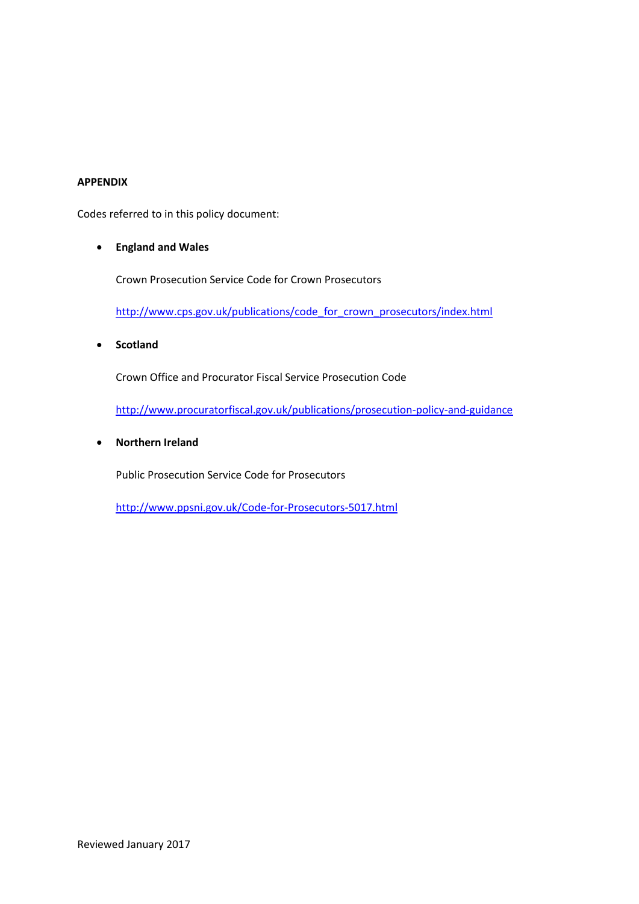## **APPENDIX**

Codes referred to in this policy document:

# **England and Wales**

Crown Prosecution Service Code for Crown Prosecutors

http://www.cps.gov.uk/publications/code\_for\_crown\_prosecutors/index.html

**•** Scotland

Crown Office and Procurator Fiscal Service Prosecution Code

<http://www.procuratorfiscal.gov.uk/publications/prosecution-policy-and-guidance>

# **Northern Ireland**

Public Prosecution Service Code for Prosecutors

<http://www.ppsni.gov.uk/Code-for-Prosecutors-5017.html>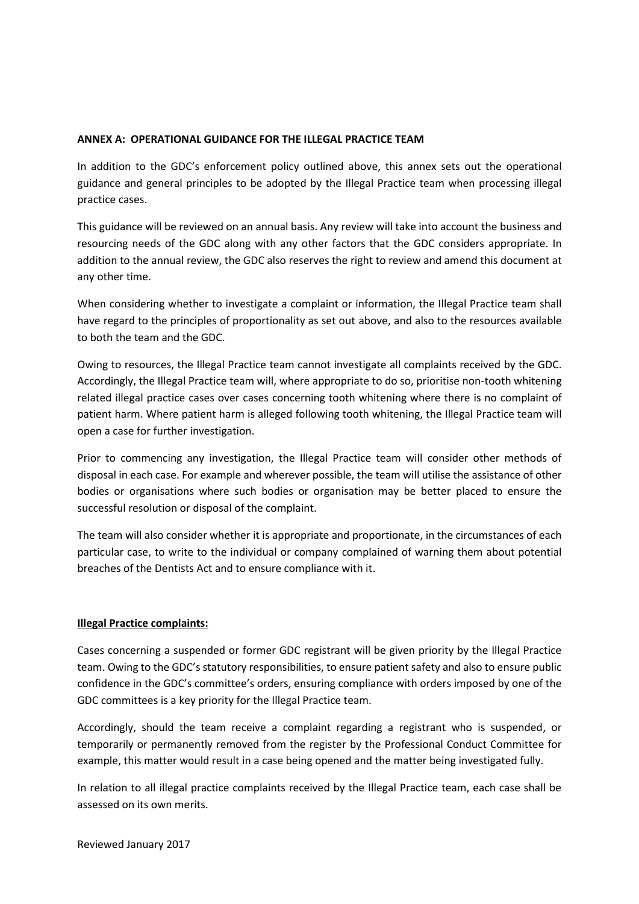# **ANNEX A: OPERATIONAL GUIDANCE FOR THE ILLEGAL PRACTICE TEAM**

In addition to the GDC's enforcement policy outlined above, this annex sets out the operational guidance and general principles to be adopted by the Illegal Practice team when processing illegal practice cases.

This guidance will be reviewed on an annual basis. Any review will take into account the business and resourcing needs of the GDC along with any other factors that the GDC considers appropriate. In addition to the annual review, the GDC also reserves the right to review and amend this document at any other time.

When considering whether to investigate a complaint or information, the Illegal Practice team shall have regard to the principles of proportionality as set out above, and also to the resources available to both the team and the GDC.

Owing to resources, the Illegal Practice team cannot investigate all complaints received by the GDC. Accordingly, the Illegal Practice team will, where appropriate to do so, prioritise non-tooth whitening related illegal practice cases over cases concerning tooth whitening where there is no complaint of patient harm. Where patient harm is alleged following tooth whitening, the Illegal Practice team will open a case for further investigation.

Prior to commencing any investigation, the Illegal Practice team will consider other methods of disposal in each case. For example and wherever possible, the team will utilise the assistance of other bodies or organisations where such bodies or organisation may be better placed to ensure the successful resolution or disposal of the complaint.

The team will also consider whether it is appropriate and proportionate, in the circumstances of each particular case, to write to the individual or company complained of warning them about potential breaches of the Dentists Act and to ensure compliance with it.

## **Illegal Practice complaints:**

Cases concerning a suspended or former GDC registrant will be given priority by the Illegal Practice team. Owing to the GDC's statutory responsibilities, to ensure patient safety and also to ensure public confidence in the GDC's committee's orders, ensuring compliance with orders imposed by one of the GDC committees is a key priority for the Illegal Practice team.

Accordingly, should the team receive a complaint regarding a registrant who is suspended, or temporarily or permanently removed from the register by the Professional Conduct Committee for example, this matter would result in a case being opened and the matter being investigated fully.

In relation to all illegal practice complaints received by the Illegal Practice team, each case shall be assessed on its own merits.